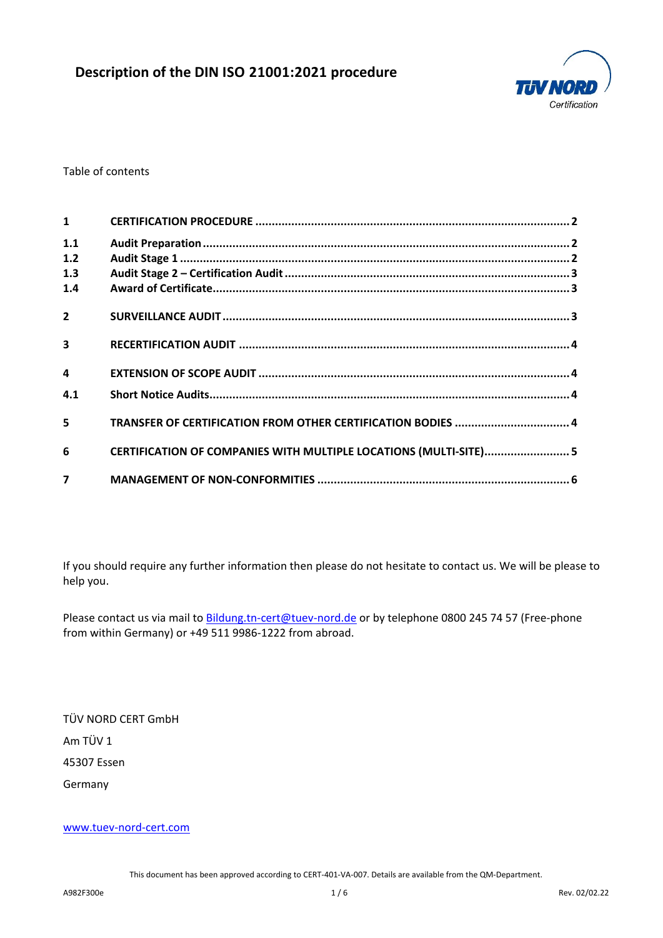# **Description of the DIN ISO 21001:2021 procedure**



#### Table of contents

| $\mathbf{1}$            |                                                                   |  |
|-------------------------|-------------------------------------------------------------------|--|
| 1.1                     |                                                                   |  |
| 1.2                     |                                                                   |  |
| 1.3                     |                                                                   |  |
| 1.4                     |                                                                   |  |
|                         |                                                                   |  |
| $\overline{2}$          |                                                                   |  |
| $\overline{\mathbf{3}}$ |                                                                   |  |
|                         |                                                                   |  |
| $\overline{\mathbf{A}}$ |                                                                   |  |
| 4.1                     |                                                                   |  |
|                         |                                                                   |  |
| 5                       | TRANSFER OF CERTIFICATION FROM OTHER CERTIFICATION BODIES  4      |  |
| 6                       |                                                                   |  |
|                         | CERTIFICATION OF COMPANIES WITH MULTIPLE LOCATIONS (MULTI-SITE) 5 |  |
| $\overline{7}$          |                                                                   |  |

If you should require any further information then please do not hesitate to contact us. We will be please to help you.

Please contact us via mail to [Bildung.tn-cert@tuev-nord.de](mailto:Bildung.tn-cert@tuev-nord.de) or by telephone 0800 245 74 57 (Free-phone from within Germany) or +49 511 9986-1222 from abroad.

TÜV NORD CERT GmbH Am TÜV 1 45307 Essen Germany

#### [www.tuev-nord-cert.com](http://www.tuev-nord-cert.com/)

This document has been approved according to CERT-401-VA-007. Details are available from the QM-Department.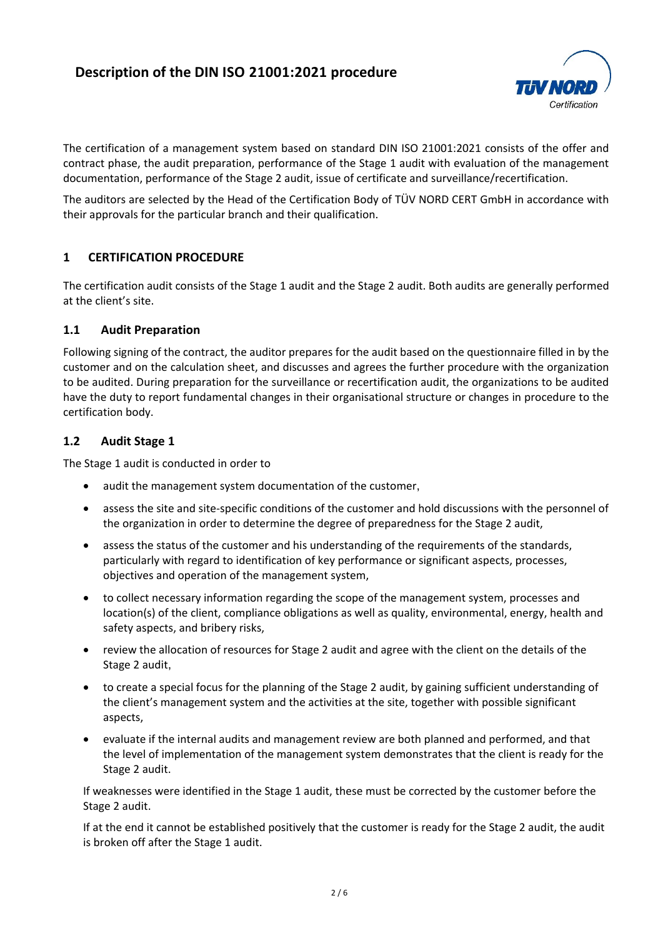# **Description of the DIN ISO 21001:2021 procedure**



The certification of a management system based on standard DIN ISO 21001:2021 consists of the offer and contract phase, the audit preparation, performance of the Stage 1 audit with evaluation of the management documentation, performance of the Stage 2 audit, issue of certificate and surveillance/recertification.

The auditors are selected by the Head of the Certification Body of TÜV NORD CERT GmbH in accordance with their approvals for the particular branch and their qualification.

### **1 CERTIFICATION PROCEDURE**

The certification audit consists of the Stage 1 audit and the Stage 2 audit. Both audits are generally performed at the client's site.

#### **1.1 Audit Preparation**

Following signing of the contract, the auditor prepares for the audit based on the questionnaire filled in by the customer and on the calculation sheet, and discusses and agrees the further procedure with the organization to be audited. During preparation for the surveillance or recertification audit, the organizations to be audited have the duty to report fundamental changes in their organisational structure or changes in procedure to the certification body.

#### **1.2 Audit Stage 1**

The Stage 1 audit is conducted in order to

- audit the management system documentation of the customer,
- assess the site and site-specific conditions of the customer and hold discussions with the personnel of the organization in order to determine the degree of preparedness for the Stage 2 audit,
- assess the status of the customer and his understanding of the requirements of the standards, particularly with regard to identification of key performance or significant aspects, processes, objectives and operation of the management system,
- to collect necessary information regarding the scope of the management system, processes and location(s) of the client, compliance obligations as well as quality, environmental, energy, health and safety aspects, and bribery risks,
- review the allocation of resources for Stage 2 audit and agree with the client on the details of the Stage 2 audit,
- to create a special focus for the planning of the Stage 2 audit, by gaining sufficient understanding of the client's management system and the activities at the site, together with possible significant aspects,
- evaluate if the internal audits and management review are both planned and performed, and that the level of implementation of the management system demonstrates that the client is ready for the Stage 2 audit.

If weaknesses were identified in the Stage 1 audit, these must be corrected by the customer before the Stage 2 audit.

If at the end it cannot be established positively that the customer is ready for the Stage 2 audit, the audit is broken off after the Stage 1 audit.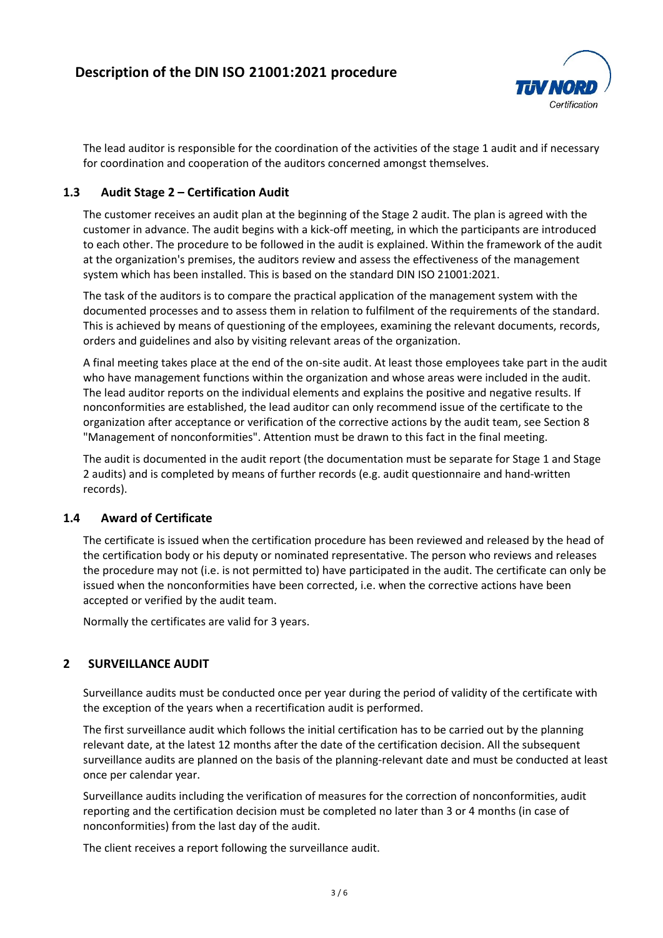

The lead auditor is responsible for the coordination of the activities of the stage 1 audit and if necessary for coordination and cooperation of the auditors concerned amongst themselves.

### **1.3 Audit Stage 2 – Certification Audit**

The customer receives an audit plan at the beginning of the Stage 2 audit. The plan is agreed with the customer in advance. The audit begins with a kick-off meeting, in which the participants are introduced to each other. The procedure to be followed in the audit is explained. Within the framework of the audit at the organization's premises, the auditors review and assess the effectiveness of the management system which has been installed. This is based on the standard DIN ISO 21001:2021.

The task of the auditors is to compare the practical application of the management system with the documented processes and to assess them in relation to fulfilment of the requirements of the standard. This is achieved by means of questioning of the employees, examining the relevant documents, records, orders and guidelines and also by visiting relevant areas of the organization.

A final meeting takes place at the end of the on-site audit. At least those employees take part in the audit who have management functions within the organization and whose areas were included in the audit. The lead auditor reports on the individual elements and explains the positive and negative results. If nonconformities are established, the lead auditor can only recommend issue of the certificate to the organization after acceptance or verification of the corrective actions by the audit team, see Section 8 "Management of nonconformities". Attention must be drawn to this fact in the final meeting.

The audit is documented in the audit report (the documentation must be separate for Stage 1 and Stage 2 audits) and is completed by means of further records (e.g. audit questionnaire and hand-written records).

#### **1.4 Award of Certificate**

The certificate is issued when the certification procedure has been reviewed and released by the head of the certification body or his deputy or nominated representative. The person who reviews and releases the procedure may not (i.e. is not permitted to) have participated in the audit. The certificate can only be issued when the nonconformities have been corrected, i.e. when the corrective actions have been accepted or verified by the audit team.

Normally the certificates are valid for 3 years.

#### **2 SURVEILLANCE AUDIT**

Surveillance audits must be conducted once per year during the period of validity of the certificate with the exception of the years when a recertification audit is performed.

The first surveillance audit which follows the initial certification has to be carried out by the planning relevant date, at the latest 12 months after the date of the certification decision. All the subsequent surveillance audits are planned on the basis of the planning-relevant date and must be conducted at least once per calendar year.

Surveillance audits including the verification of measures for the correction of nonconformities, audit reporting and the certification decision must be completed no later than 3 or 4 months (in case of nonconformities) from the last day of the audit.

The client receives a report following the surveillance audit.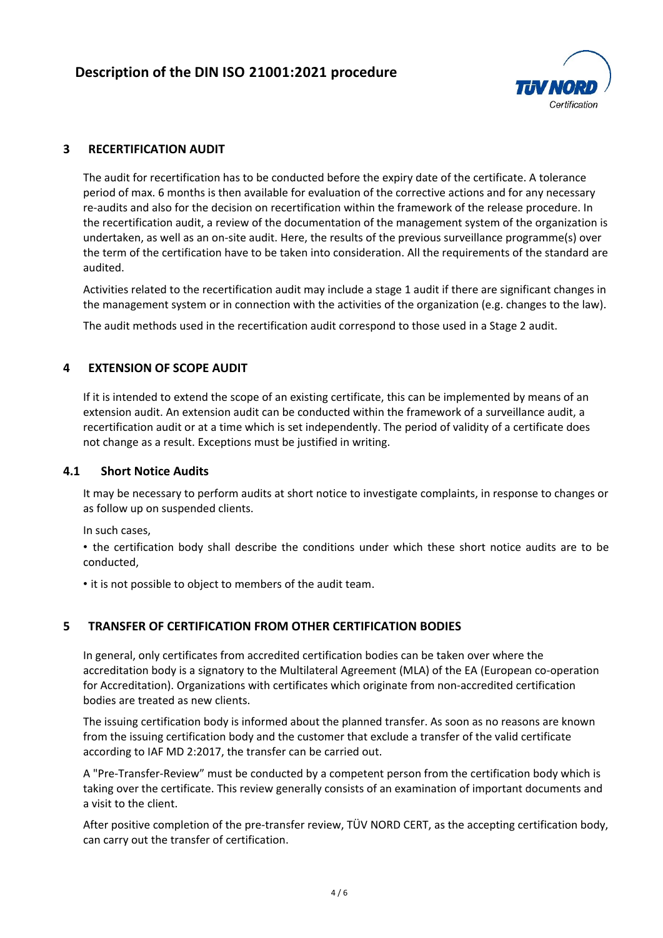

#### **3 RECERTIFICATION AUDIT**

The audit for recertification has to be conducted before the expiry date of the certificate. A tolerance period of max. 6 months is then available for evaluation of the corrective actions and for any necessary re-audits and also for the decision on recertification within the framework of the release procedure. In the recertification audit, a review of the documentation of the management system of the organization is undertaken, as well as an on-site audit. Here, the results of the previous surveillance programme(s) over the term of the certification have to be taken into consideration. All the requirements of the standard are audited.

Activities related to the recertification audit may include a stage 1 audit if there are significant changes in the management system or in connection with the activities of the organization (e.g. changes to the law).

The audit methods used in the recertification audit correspond to those used in a Stage 2 audit.

#### **4 EXTENSION OF SCOPE AUDIT**

If it is intended to extend the scope of an existing certificate, this can be implemented by means of an extension audit. An extension audit can be conducted within the framework of a surveillance audit, a recertification audit or at a time which is set independently. The period of validity of a certificate does not change as a result. Exceptions must be justified in writing.

#### **4.1 Short Notice Audits**

It may be necessary to perform audits at short notice to investigate complaints, in response to changes or as follow up on suspended clients.

In such cases,

• the certification body shall describe the conditions under which these short notice audits are to be conducted,

• it is not possible to object to members of the audit team.

#### **5 TRANSFER OF CERTIFICATION FROM OTHER CERTIFICATION BODIES**

In general, only certificates from accredited certification bodies can be taken over where the accreditation body is a signatory to the Multilateral Agreement (MLA) of the EA (European co-operation for Accreditation). Organizations with certificates which originate from non-accredited certification bodies are treated as new clients.

The issuing certification body is informed about the planned transfer. As soon as no reasons are known from the issuing certification body and the customer that exclude a transfer of the valid certificate according to IAF MD 2:2017, the transfer can be carried out.

A "Pre-Transfer-Review" must be conducted by a competent person from the certification body which is taking over the certificate. This review generally consists of an examination of important documents and a visit to the client.

After positive completion of the pre-transfer review, TÜV NORD CERT, as the accepting certification body, can carry out the transfer of certification.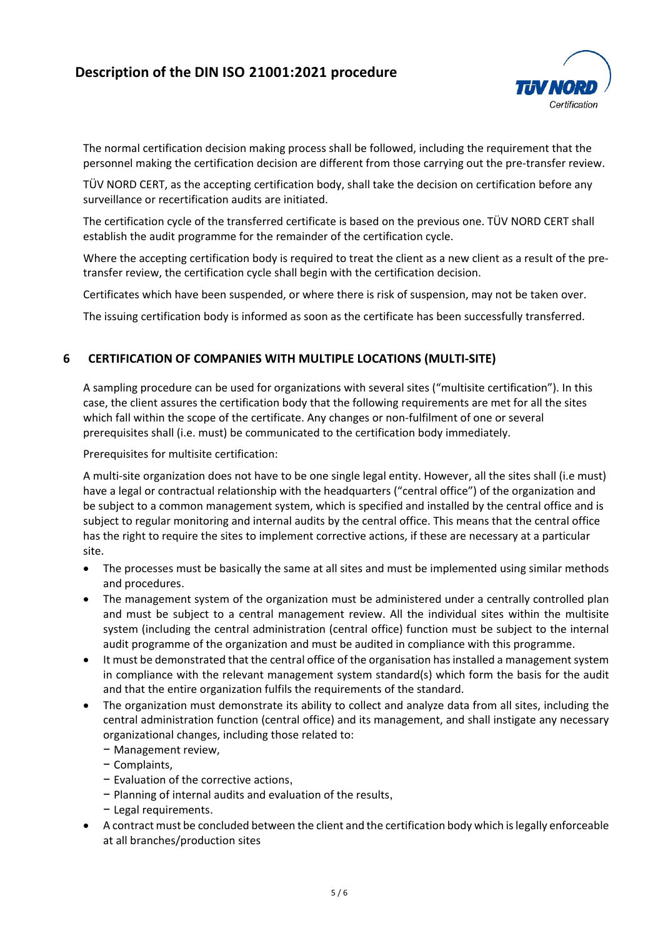## **Description of the DIN ISO 21001:2021 procedure**



The normal certification decision making process shall be followed, including the requirement that the personnel making the certification decision are different from those carrying out the pre-transfer review.

TÜV NORD CERT, as the accepting certification body, shall take the decision on certification before any surveillance or recertification audits are initiated.

The certification cycle of the transferred certificate is based on the previous one. TÜV NORD CERT shall establish the audit programme for the remainder of the certification cycle.

Where the accepting certification body is required to treat the client as a new client as a result of the pretransfer review, the certification cycle shall begin with the certification decision.

Certificates which have been suspended, or where there is risk of suspension, may not be taken over.

The issuing certification body is informed as soon as the certificate has been successfully transferred.

#### **6 CERTIFICATION OF COMPANIES WITH MULTIPLE LOCATIONS (MULTI-SITE)**

A sampling procedure can be used for organizations with several sites ("multisite certification"). In this case, the client assures the certification body that the following requirements are met for all the sites which fall within the scope of the certificate. Any changes or non-fulfilment of one or several prerequisites shall (i.e. must) be communicated to the certification body immediately.

Prerequisites for multisite certification:

A multi-site organization does not have to be one single legal entity. However, all the sites shall (i.e must) have a legal or contractual relationship with the headquarters ("central office") of the organization and be subject to a common management system, which is specified and installed by the central office and is subject to regular monitoring and internal audits by the central office. This means that the central office has the right to require the sites to implement corrective actions, if these are necessary at a particular site.

- The processes must be basically the same at all sites and must be implemented using similar methods and procedures.
- The management system of the organization must be administered under a centrally controlled plan and must be subject to a central management review. All the individual sites within the multisite system (including the central administration (central office) function must be subject to the internal audit programme of the organization and must be audited in compliance with this programme.
- It must be demonstrated that the central office of the organisation has installed a management system in compliance with the relevant management system standard(s) which form the basis for the audit and that the entire organization fulfils the requirements of the standard.
- The organization must demonstrate its ability to collect and analyze data from all sites, including the central administration function (central office) and its management, and shall instigate any necessary organizational changes, including those related to:
	- − Management review,
	- − Complaints,
	- − Evaluation of the corrective actions,
	- − Planning of internal audits and evaluation of the results,
	- − Legal requirements.
- A contract must be concluded between the client and the certification body which is legally enforceable at all branches/production sites